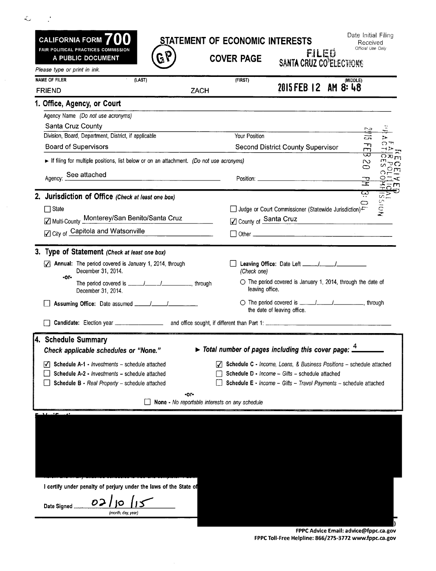| STATEMENT OF ECONOMIC INTERESTS |  |  |
|---------------------------------|--|--|
|                                 |  |  |

 $\mathcal{L} = \mathcal{L}$ 

 $\sim$ 

CALIFORNIA FORM 700 FAIR POLITICAL PRACTICES COMMISSION A PUBLIC DOCUMENT

Date Initial Filing<br>Received<br>
Official Use Only

**COVER PAGE SANTA CRUZ CO<sup>P</sup>ELECTIONS** 

| <b>NAME OF FILER</b><br>(LAST)                                                                           | (FIRST)<br>(MIDDLE)<br>2015 FEB 12 AM 8: 48                                                                          |
|----------------------------------------------------------------------------------------------------------|----------------------------------------------------------------------------------------------------------------------|
| <b>ZACH</b><br><b>FRIEND</b>                                                                             |                                                                                                                      |
| 1. Office, Agency, or Court                                                                              |                                                                                                                      |
| Agency Name (Do not use acronyms)                                                                        |                                                                                                                      |
| Santa Cruz County                                                                                        |                                                                                                                      |
| Division, Board, Department, District, if applicable<br><b>Board of Supervisors</b>                      | Your Position<br>Т×<br>ند ت                                                                                          |
|                                                                                                          | $\vec{E}$<br>Second District County Supervisor                                                                       |
| If filing for multiple positions, list below or on an attachment. (Do not use acronyms)                  | <b>UACS</b><br>UACS<br>$\sim$<br>⊖                                                                                   |
| Agency: See attached                                                                                     | $\frac{1}{2}$                                                                                                        |
|                                                                                                          | $\frac{Q\supseteq K}{\supseteq m}$                                                                                   |
| 2. Jurisdiction of Office (Check at least one box)                                                       | نې<br>v.                                                                                                             |
| $\Box$ State                                                                                             | <b>NOIS</b><br>$\subset$<br>□ Judge or Court Commissioner (Statewide Jurisdiction)                                   |
| ☑ Multi-County Monterey/San Benito/Santa Cruz                                                            | County of Santa Cruz<br><u> 1989 - John Stein, Amerikaansk politiker (</u>                                           |
| ☑ City of Capitola and Watsonville                                                                       |                                                                                                                      |
|                                                                                                          |                                                                                                                      |
| 3. Type of Statement (Check at least one box)                                                            |                                                                                                                      |
| Annual: The period covered is January 1, 2014, through<br>$\overline{\mathcal{L}}$<br>December 31, 2014. | (Check one)                                                                                                          |
| $-0r -$<br>December 31, 2014.                                                                            | $\circ$ The period covered is January 1, 2014, through the date of<br>leaving office.                                |
|                                                                                                          | ○ The period covered is <u>_____/______/_______</u> __________, through<br>the date of leaving office.               |
|                                                                                                          |                                                                                                                      |
|                                                                                                          |                                                                                                                      |
| 4. Schedule Summary<br>Check applicable schedules or "None."                                             | $\triangleright$ Total number of pages including this cover page: $\frac{4}{1}$                                      |
|                                                                                                          |                                                                                                                      |
| Schedule A-1 - Investments - schedule attached<br>M                                                      | Schedule C - Income, Loans, & Business Positions - schedule attached                                                 |
| Schedule A-2 - Investments - schedule attached                                                           | Schedule D - Income - Gifts - schedule attached<br>Schedule E - Income - Gifts - Travel Payments - schedule attached |
| <b>Schedule B - Real Property - schedule attached</b>                                                    |                                                                                                                      |
| -or-<br><b>None -</b> No reportable interests on any schedule                                            |                                                                                                                      |
|                                                                                                          |                                                                                                                      |

**) FPPC Advice Email: advice@fppc.ca.gov FPPC Toll-Free Helpline: 866/275-3772 www.fppc.ca.gov**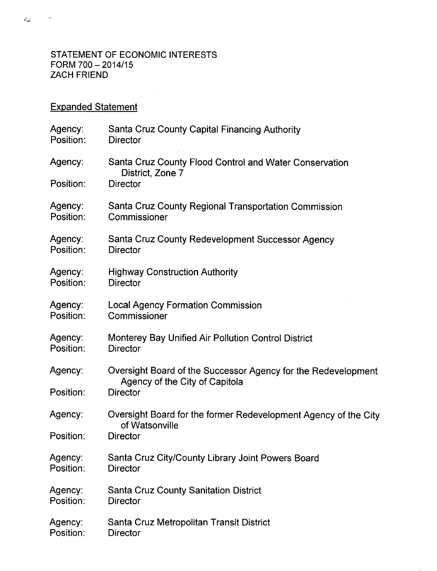## STATEMENT OF ECONOMIC INTERESTS  $FORM 700 - 2014/15$ ZACH FRIEND

 $\sim 10^{-11}$ 

## Expanded Statement

| Agency:<br>Position: | Santa Cruz County Capital Financing Authority<br><b>Director</b>                                |
|----------------------|-------------------------------------------------------------------------------------------------|
| Agency:              | Santa Cruz County Flood Control and Water Conservation<br>District, Zone 7                      |
| Position:            | <b>Director</b>                                                                                 |
| Agency:<br>Position: | Santa Cruz County Regional Transportation Commission<br>Commissioner                            |
| Agency:<br>Position: | Santa Cruz County Redevelopment Successor Agency<br><b>Director</b>                             |
| Agency:<br>Position: | <b>Highway Construction Authority</b><br><b>Director</b>                                        |
| Agency:<br>Position: | <b>Local Agency Formation Commission</b><br>Commissioner                                        |
| Agency:<br>Position: | Monterey Bay Unified Air Pollution Control District<br><b>Director</b>                          |
| Agency:              | Oversight Board of the Successor Agency for the Redevelopment<br>Agency of the City of Capitola |
| Position:            | <b>Director</b>                                                                                 |
| Agency:              | Oversight Board for the former Redevelopment Agency of the City<br>of Watsonville               |
| Position:            | <b>Director</b>                                                                                 |
| Agency:<br>Position: | Santa Cruz City/County Library Joint Powers Board<br><b>Director</b>                            |
| Agency:<br>Position: | <b>Santa Cruz County Sanitation District</b><br><b>Director</b>                                 |
| Agency:<br>Position: | Santa Cruz Metropolitan Transit District<br><b>Director</b>                                     |

 $\hat{\boldsymbol{\beta}}$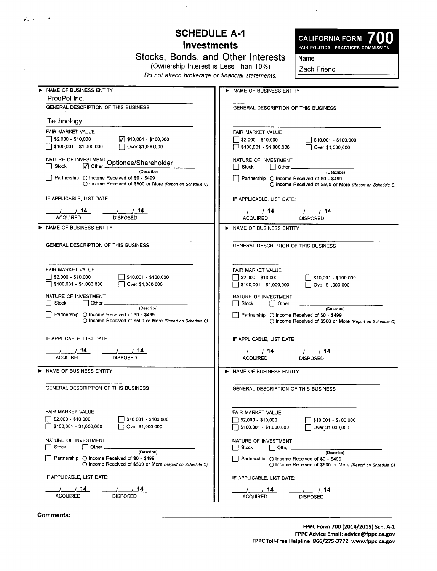## **SCHEDULE A-1 Investments**

**Stocks, Bonds, and Other Interests (Ownership Interest is Less Than 10%)**

**Do not attach brokerage or financial statements.**

CALIFORNIA FORM 700

**Name**

**Zach Friend**

| NAME OF BUSINESS ENTITY                                                                   | NAME OF BUSINESS ENTITY                                      |  |  |
|-------------------------------------------------------------------------------------------|--------------------------------------------------------------|--|--|
| PredPol Inc.                                                                              |                                                              |  |  |
| GENERAL DESCRIPTION OF THIS BUSINESS                                                      | GENERAL DESCRIPTION OF THIS BUSINESS                         |  |  |
| Technology                                                                                |                                                              |  |  |
| FAIR MARKET VALUE                                                                         | FAIR MARKET VALUE                                            |  |  |
| \$2,000 - \$10,000<br>$\sqrt{}$ \$10,001 - \$100,000                                      | \$2,000 - \$10,000<br>$\frac{1}{2}$ \$10,001 - \$100,000     |  |  |
| Over \$1,000,000<br>\$100,001 - \$1,000,000                                               | $\sqrt{15100,001 - 151,000,000}$<br>Over \$1,000,000         |  |  |
| NATURE OF INVESTMENT Optionee/Shareholder                                                 | NATURE OF INVESTMENT                                         |  |  |
| Stock<br>$\sqrt{\phantom{a}}$ Other.<br>(Describe)                                        | Stock<br>$\vert$ Other $\vert$<br>(Describe)                 |  |  |
| Partnership $\bigcirc$ income Received of \$0 - \$499                                     | $\Box$ Partnership $\bigcirc$ Income Received of \$0 - \$499 |  |  |
| ○ Income Received of \$500 or More (Report on Schedule C)                                 | O Income Received of \$500 or More (Report on Schedule C)    |  |  |
| IF APPLICABLE, LIST DATE:                                                                 | IF APPLICABLE, LIST DATE:                                    |  |  |
| 1/14<br>1/14                                                                              | 1/14<br>/ / 14                                               |  |  |
| <b>ACQUIRED</b><br><b>DISPOSED</b>                                                        | <b>ACQUIRED</b><br><b>DISPOSED</b>                           |  |  |
| > NAME OF BUSINESS ENTITY                                                                 | NAME OF BUSINESS ENTITY                                      |  |  |
|                                                                                           |                                                              |  |  |
| GENERAL DESCRIPTION OF THIS BUSINESS                                                      | GENERAL DESCRIPTION OF THIS BUSINESS                         |  |  |
|                                                                                           |                                                              |  |  |
| FAIR MARKET VALUE                                                                         | FAIR MARKET VALUE                                            |  |  |
| \$2,000 - \$10,000<br>\$10,001 - \$100,000<br>\$100,001 - \$1,000,000<br>Over \$1,000,000 | \$2,000 - \$10,000<br>$\frac{1}{2}$ \$10,001 - \$100,000     |  |  |
|                                                                                           | \$100,001 - \$1,000,000<br>Over \$1,000,000                  |  |  |
| NATURE OF INVESTMENT                                                                      | NATURE OF INVESTMENT                                         |  |  |
| $\Box$ Other.<br>Stock<br>(Describe)                                                      | Stock<br>l Other __<br>(Describe)                            |  |  |
| Partnership ○ Income Received of \$0 - \$499                                              | Partnership ○ Income Received of \$0 - \$499                 |  |  |
| ○ Income Received of \$500 or More (Report on Schedule C)                                 | ○ Income Received of \$500 or More (Report on Schedule C)    |  |  |
| IF APPLICABLE, LIST DATE:                                                                 | IF APPLICABLE, LIST DATE:                                    |  |  |
| 1/14<br>_____/ ______/ _ 14                                                               | 1/14<br>$\frac{1}{2}$ / 14                                   |  |  |
| <b>ACQUIRED</b><br><b>DISPOSED</b>                                                        | <b>ACQUIRED</b><br><b>DISPOSED</b>                           |  |  |
| NAME OF BUSINESS ENTITY                                                                   |                                                              |  |  |
|                                                                                           | > NAME OF BUSINESS ENTITY                                    |  |  |
| GENERAL DESCRIPTION OF THIS BUSINESS                                                      | GENERAL DESCRIPTION OF THIS BUSINESS                         |  |  |
|                                                                                           |                                                              |  |  |
| FAIR MARKET VALUE                                                                         | FAIR MARKET VALUE                                            |  |  |
| $$2,000 - $10,000$<br>\$10,001 - \$100,000                                                | \$2,000 - \$10,000<br>\$10,001 - \$100,000                   |  |  |
| \$100,001 - \$1,000,000<br>Over \$1,000,000                                               | \$100,001 - \$1,000,000<br>Over \$1,000,000                  |  |  |
| NATURE OF INVESTMENT                                                                      | NATURE OF INVESTMENT                                         |  |  |
| Stock<br>Other<br>(Describe)                                                              | Stock<br>Other                                               |  |  |
| Partnership $\bigcirc$ Income Received of \$0 - \$499                                     | (Describe)<br>Partnership ○ Income Received of \$0 - \$499   |  |  |
| ◯ Income Received of \$500 or More (Report on Schedule C)                                 | ◯ Income Received of \$500 or More (Report on Schedule C)    |  |  |
| IF APPLICABLE, LIST DATE:                                                                 | IF APPLICABLE, LIST DATE:                                    |  |  |
| 14<br>14                                                                                  | 14<br>14                                                     |  |  |
| <b>ACQUIRED</b><br><b>DISPOSED</b>                                                        | <b>ACQUIRED</b><br><b>DISPOSED</b>                           |  |  |

**Comments:**

الأستعدي

 $\cdot$